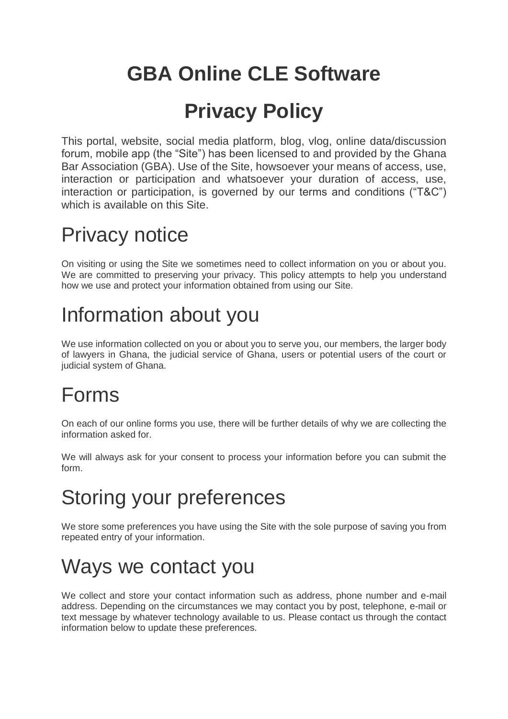# **GBA Online CLE Software**

# **Privacy Policy**

This portal, website, social media platform, blog, vlog, online data/discussion forum, mobile app (the "Site") has been licensed to and provided by the Ghana Bar Association (GBA). Use of the Site, howsoever your means of access, use, interaction or participation and whatsoever your duration of access, use, interaction or participation, is governed by our terms and conditions ("T&C") which is available on this Site.

# Privacy notice

On visiting or using the Site we sometimes need to collect information on you or about you. We are committed to preserving your privacy. This policy attempts to help you understand how we use and protect your information obtained from using our Site.

# Information about you

We use information collected on you or about you to serve you, our members, the larger body of lawyers in Ghana, the judicial service of Ghana, users or potential users of the court or judicial system of Ghana.

## Forms

On each of our online forms you use, there will be further details of why we are collecting the information asked for.

We will always ask for your consent to process your information before you can submit the form.

# Storing your preferences

We store some preferences you have using the Site with the sole purpose of saving you from repeated entry of your information.

# Ways we contact you

We collect and store your contact information such as address, phone number and e-mail address. Depending on the circumstances we may contact you by post, telephone, e-mail or text message by whatever technology available to us. Please contact us through the contact information below to update these preferences.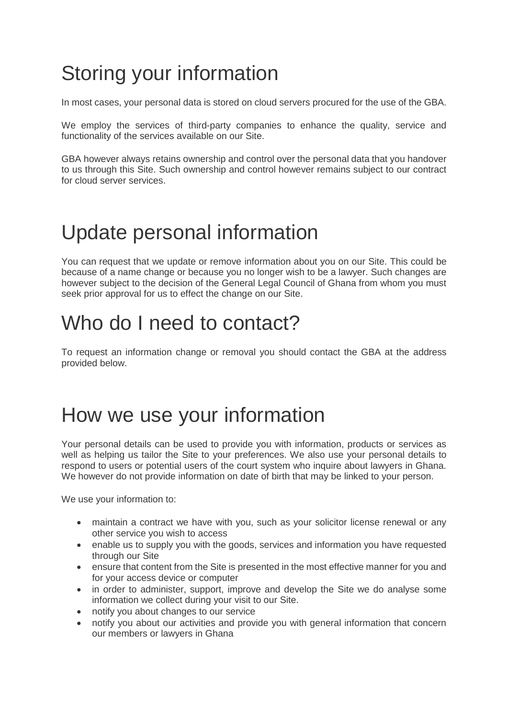## Storing your information

In most cases, your personal data is stored on cloud servers procured for the use of the GBA.

We employ the services of third-party companies to enhance the quality, service and functionality of the services available on our Site.

GBA however always retains ownership and control over the personal data that you handover to us through this Site. Such ownership and control however remains subject to our contract for cloud server services.

### Update personal information

You can request that we update or remove information about you on our Site. This could be because of a name change or because you no longer wish to be a lawyer. Such changes are however subject to the decision of the General Legal Council of Ghana from whom you must seek prior approval for us to effect the change on our Site.

#### Who do I need to contact?

To request an information change or removal you should contact the GBA at the address provided below.

#### How we use your information

Your personal details can be used to provide you with information, products or services as well as helping us tailor the Site to your preferences. We also use your personal details to respond to users or potential users of the court system who inquire about lawyers in Ghana. We however do not provide information on date of birth that may be linked to your person.

We use your information to:

- maintain a contract we have with you, such as your solicitor license renewal or any other service you wish to access
- enable us to supply you with the goods, services and information you have requested through our Site
- ensure that content from the Site is presented in the most effective manner for you and for your access device or computer
- in order to administer, support, improve and develop the Site we do analyse some information we collect during your visit to our Site.
- notify you about changes to our service
- notify you about our activities and provide you with general information that concern our members or lawyers in Ghana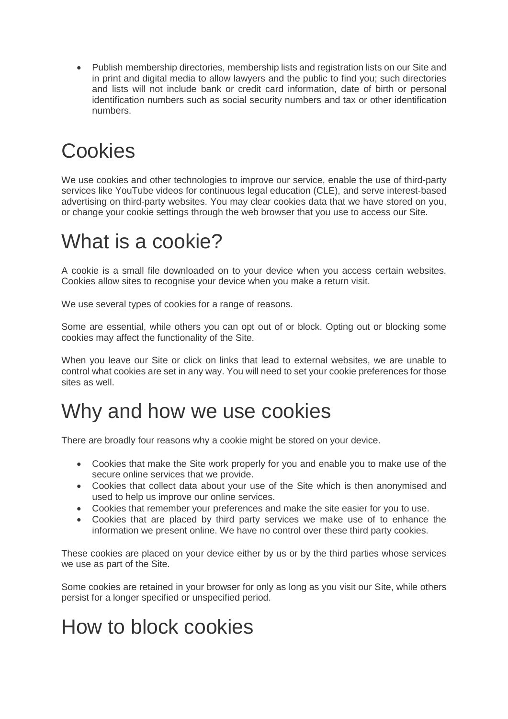Publish membership directories, membership lists and registration lists on our Site and in print and digital media to allow lawyers and the public to find you; such directories and lists will not include bank or credit card information, date of birth or personal identification numbers such as social security numbers and tax or other identification numbers.

# **Cookies**

We use cookies and other technologies to improve our service, enable the use of third-party services like YouTube videos for continuous legal education (CLE), and serve interest-based advertising on third-party websites. You may clear cookies data that we have stored on you, or change your cookie settings through the web browser that you use to access our Site.

### What is a cookie?

A cookie is a small file downloaded on to your device when you access certain websites. Cookies allow sites to recognise your device when you make a return visit.

We use several types of cookies for a range of reasons.

Some are essential, while others you can opt out of or block. Opting out or blocking some cookies may affect the functionality of the Site.

When you leave our Site or click on links that lead to external websites, we are unable to control what cookies are set in any way. You will need to set your cookie preferences for those sites as well.

#### Why and how we use cookies

There are broadly four reasons why a cookie might be stored on your device.

- Cookies that make the Site work properly for you and enable you to make use of the secure online services that we provide.
- Cookies that collect data about your use of the Site which is then anonymised and used to help us improve our online services.
- Cookies that remember your preferences and make the site easier for you to use.
- Cookies that are placed by third party services we make use of to enhance the information we present online. We have no control over these third party cookies.

These cookies are placed on your device either by us or by the third parties whose services we use as part of the Site.

Some cookies are retained in your browser for only as long as you visit our Site, while others persist for a longer specified or unspecified period.

# How to block cookies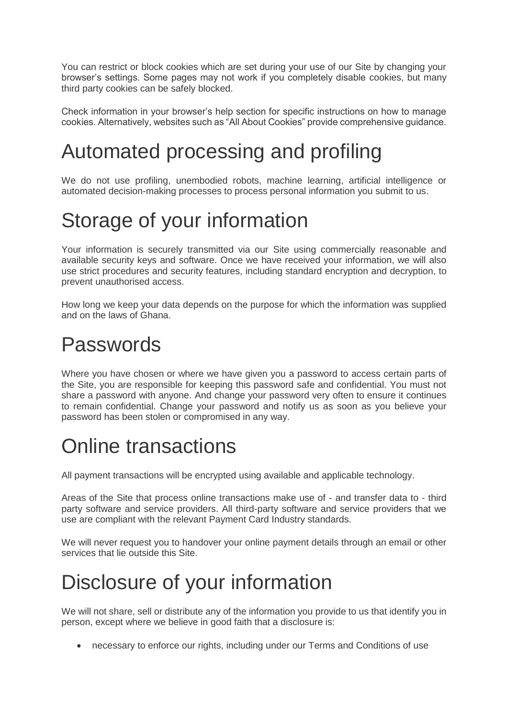You can restrict or block cookies which are set during your use of our Site by changing your browser's settings. Some pages may not work if you completely disable cookies, but many third party cookies can be safely blocked.

Check information in your browser's help section for specific instructions on how to manage cookies. Alternatively, websites such as "All About Cookies" provide comprehensive guidance.

## Automated processing and profiling

We do not use profiling, unembodied robots, machine learning, artificial intelligence or automated decision-making processes to process personal information you submit to us.

## Storage of your information

Your information is securely transmitted via our Site using commercially reasonable and available security keys and software. Once we have received your information, we will also use strict procedures and security features, including standard encryption and decryption, to prevent unauthorised access.

How long we keep your data depends on the purpose for which the information was supplied and on the laws of Ghana.

#### Passwords

Where you have chosen or where we have given you a password to access certain parts of the Site, you are responsible for keeping this password safe and confidential. You must not share a password with anyone. And change your password very often to ensure it continues to remain confidential. Change your password and notify us as soon as you believe your password has been stolen or compromised in any way.

# Online transactions

All payment transactions will be encrypted using available and applicable technology.

Areas of the Site that process online transactions make use of - and transfer data to - third party software and service providers. All third-party software and service providers that we use are compliant with the relevant Payment Card Industry standards.

We will never request you to handover your online payment details through an email or other services that lie outside this Site.

## Disclosure of your information

We will not share, sell or distribute any of the information you provide to us that identify you in person, except where we believe in good faith that a disclosure is:

necessary to enforce our rights, including under our Terms and Conditions of use